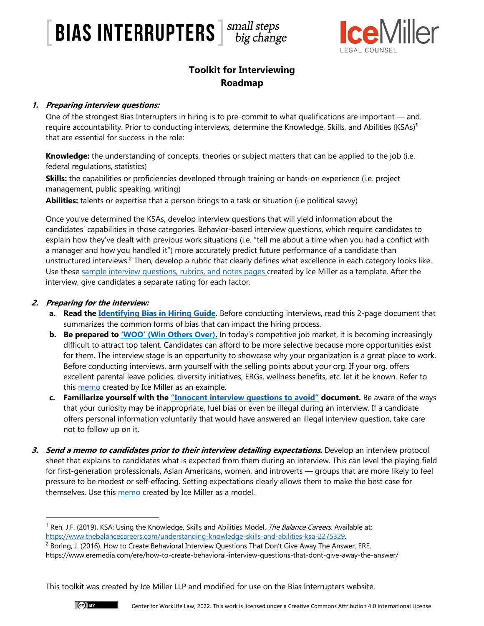# $\left\lceil \frac{\text{BIAS}}{\text{BIAS}} \right\rceil$   $\left\lceil \frac{\text{Smal}}{\text{big change}} \right\rceil$



# **Toolkit for Interviewing Roadmap**

## **1. Preparing interview questions:**

One of the strongest Bias Interrupters in hiring is to pre-commit to what qualifications are important — and require accountability. Prior to conducting interviews, determine the Knowledge, Skills, and Abilities (KSAs)**<sup>1</sup>** that are essential for success in the role:

**Knowledge:** the understanding of concepts, theories or subject matters that can be applied to the job (i.e. federal regulations, statistics)

**Skills:** the capabilities or proficiencies developed through training or hands-on experience (i.e. project management, public speaking, writing)

**Abilities:** talents or expertise that a person brings to a task or situation (i.e political savvy)

Once you've determined the KSAs, develop interview questions that will yield information about the candidates' capabilities in those categories. Behavior-based interview questions, which require candidates to explain how they've dealt with previous work situations (i.e. "tell me about a time when you had a conflict with a manager and how you handled it") more accurately predict future performance of a candidate than unstructured interviews.<sup>2</sup> Then, develop a rubric that clearly defines what excellence in each category looks like. Use these sample interview questions, rubrics, and notes pages created by Ice Miller as a template. After the interview, give candidates a separate rating for each factor.

## **2. Preparing for the interview:**

- **a. Read the Identifying Bias in Hiring Guide.** Before conducting interviews, read this 2-page document that summarizes the common forms of bias that can impact the hiring process.
- **b.** Be prepared to 'WOO' (Win Others Over). In today's competitive job market, it is becoming increasingly difficult to attract top talent. Candidates can afford to be more selective because more opportunities exist for them. The interview stage is an opportunity to showcase why your organization is a great place to work. Before conducting interviews, arm yourself with the selling points about your org. If your org. offers excellent parental leave policies, diversity initiatives, ERGs, wellness benefits, etc. let it be known. Refer to this **memo** created by Ice Miller as an example.
- **c. Familiarize yourself with the "Innocent interview questions to avoid" document.** Be aware of the ways that your curiosity may be inappropriate, fuel bias or even be illegal during an interview. If a candidate offers personal information voluntarily that would have answered an illegal interview question, take care not to follow up on it.
- **3. Send a memo to candidates prior to their interview detailing expectations.** Develop an interview protocol sheet that explains to candidates what is expected from them during an interview. This can level the playing field for first-generation professionals, Asian Americans, women, and introverts — groups that are more likely to feel pressure to be modest or self-effacing. Setting expectations clearly allows them to make the best case for themselves. Use this memo created by Ice Miller as a model.



<sup>&</sup>lt;sup>1</sup> Reh, J.F. (2019). KSA: Using the Knowledge, Skills and Abilities Model. *The Balance Careers.* Available at:

https://www.thebalancecareers.com/understanding-knowledge-skills-and-abilities-ksa-2275329.<br><sup>2</sup> Boring, J. (2016). How to Create Behavioral Interview Questions That Don't Give Away The Answer. ERE.

https://www.eremedia.com/ere/how-to-create-behavioral-interview-questions-that-dont-give-away-the-answer/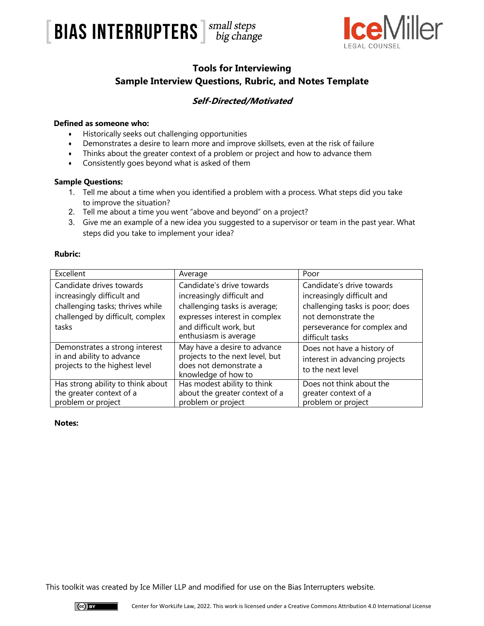



# **Tools for Interviewing Sample Interview Questions, Rubric, and Notes Template**

## **Self-Directed/Motivated**

### **Defined as someone who:**

- Historically seeks out challenging opportunities
- Demonstrates a desire to learn more and improve skillsets, even at the risk of failure
- Thinks about the greater context of a problem or project and how to advance them
- Consistently goes beyond what is asked of them

### **Sample Questions:**

- 1. Tell me about a time when you identified a problem with a process. What steps did you take to improve the situation?
- 2. Tell me about a time you went "above and beyond" on a project?
- 3. Give me an example of a new idea you suggested to a supervisor or team in the past year. What steps did you take to implement your idea?

### **Rubric:**

| Excellent                                                                                                                               | Average                                                                                                                                                                       | Poor                                                                                                                                                                 |
|-----------------------------------------------------------------------------------------------------------------------------------------|-------------------------------------------------------------------------------------------------------------------------------------------------------------------------------|----------------------------------------------------------------------------------------------------------------------------------------------------------------------|
| Candidate drives towards<br>increasingly difficult and<br>challenging tasks; thrives while<br>challenged by difficult, complex<br>tasks | Candidate's drive towards<br>increasingly difficult and<br>challenging tasks is average;<br>expresses interest in complex<br>and difficult work, but<br>enthusiasm is average | Candidate's drive towards<br>increasingly difficult and<br>challenging tasks is poor; does<br>not demonstrate the<br>perseverance for complex and<br>difficult tasks |
| Demonstrates a strong interest<br>in and ability to advance<br>projects to the highest level                                            | May have a desire to advance<br>projects to the next level, but<br>does not demonstrate a<br>knowledge of how to                                                              | Does not have a history of<br>interest in advancing projects<br>to the next level                                                                                    |
| Has strong ability to think about<br>the greater context of a<br>problem or project                                                     | Has modest ability to think<br>about the greater context of a<br>problem or project                                                                                           | Does not think about the<br>greater context of a<br>problem or project                                                                                               |

### **Notes:**

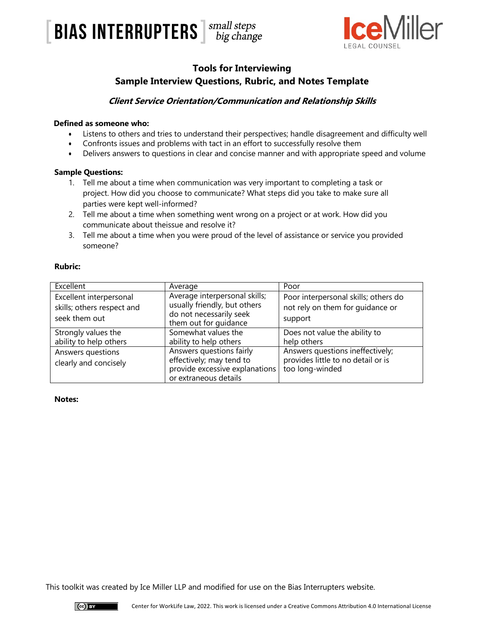



# **Tools for Interviewing Sample Interview Questions, Rubric, and Notes Template**

## **Client Service Orientation/Communication and Relationship Skills**

### **Defined as someone who:**

- Listens to others and tries to understand their perspectives; handle disagreement and difficulty well
- Confronts issues and problems with tact in an effort to successfully resolve them
- Delivers answers to questions in clear and concise manner and with appropriate speed and volume

#### **Sample Questions:**

- 1. Tell me about a time when communication was very important to completing a task or project. How did you choose to communicate? What steps did you take to make sure all parties were kept well-informed?
- 2. Tell me about a time when something went wrong on a project or at work. How did you communicate about theissue and resolve it?
- 3. Tell me about a time when you were proud of the level of assistance or service you provided someone?

#### **Rubric:**

| Excellent                                                              | Average                                                                                                           | Poor                                                                                      |
|------------------------------------------------------------------------|-------------------------------------------------------------------------------------------------------------------|-------------------------------------------------------------------------------------------|
| Excellent interpersonal<br>skills; others respect and<br>seek them out | Average interpersonal skills;<br>usually friendly, but others<br>do not necessarily seek<br>them out for guidance | Poor interpersonal skills; others do<br>not rely on them for guidance or<br>support       |
| Strongly values the<br>ability to help others                          | Somewhat values the<br>ability to help others                                                                     | Does not value the ability to<br>help others                                              |
| Answers questions<br>clearly and concisely                             | Answers questions fairly<br>effectively; may tend to<br>provide excessive explanations<br>or extraneous details   | Answers questions ineffectively;<br>provides little to no detail or is<br>too long-winded |

#### **Notes:**

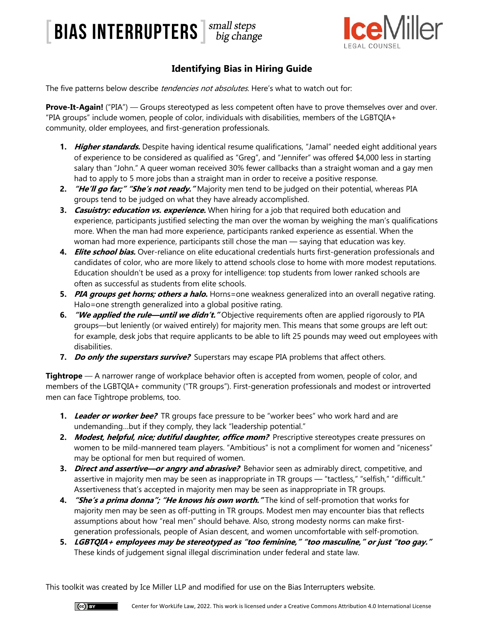# **BIAS INTERRUPTERS** *small steps big change*



# **Identifying Bias in Hiring Guide**

The five patterns below describe *tendencies not absolutes*. Here's what to watch out for:

**Prove-It-Again!** ("PIA") — Groups stereotyped as less competent often have to prove themselves over and over. "PIA groups" include women, people of color, individuals with disabilities, members of the LGBTQIA+ community, older employees, and first-generation professionals.

- **1. Higher standards.** Despite having identical resume qualifications, "Jamal" needed eight additional years of experience to be considered as qualified as "Greg", and "Jennifer" was offered \$4,000 less in starting salary than "John." A queer woman received 30% fewer callbacks than a straight woman and a gay men had to apply to 5 more jobs than a straight man in order to receive a positive response.
- **2. "He'll go far;" "She's not ready."** Majority men tend to be judged on their potential, whereas PIA groups tend to be judged on what they have already accomplished.
- **3. Casuistry: education vs. experience.** When hiring for a job that required both education and experience, participants justified selecting the man over the woman by weighing the man's qualifications more. When the man had more experience, participants ranked experience as essential. When the woman had more experience, participants still chose the man — saying that education was key.
- **4. Elite school bias.** Over-reliance on elite educational credentials hurts first-generation professionals and candidates of color, who are more likely to attend schools close to home with more modest reputations. Education shouldn't be used as a proxy for intelligence: top students from lower ranked schools are often as successful as students from elite schools.
- **5. PIA groups get horns; others a halo.** Horns=one weakness generalized into an overall negative rating. Halo=one strength generalized into a global positive rating.
- **6. "We applied the rule—until we didn't."** Objective requirements often are applied rigorously to PIA groups—but leniently (or waived entirely) for majority men. This means that some groups are left out: for example, desk jobs that require applicants to be able to lift 25 pounds may weed out employees with disabilities.
- **7. Do only the superstars survive?** Superstars may escape PIA problems that affect others.

**Tightrope** — A narrower range of workplace behavior often is accepted from women, people of color, and members of the LGBTQIA+ community ("TR groups"). First-generation professionals and modest or introverted men can face Tightrope problems, too.

- **1.** Leader or worker bee? TR groups face pressure to be "worker bees" who work hard and are undemanding…but if they comply, they lack "leadership potential."
- 2. Modest, helpful, nice; dutiful daughter, office mom? Prescriptive stereotypes create pressures on women to be mild-mannered team players. "Ambitious" is not a compliment for women and "niceness" may be optional for men but required of women.
- **3. Direct and assertive—or angry and abrasive?** Behavior seen as admirably direct, competitive, and assertive in majority men may be seen as inappropriate in TR groups — "tactless," "selfish," "difficult." Assertiveness that's accepted in majority men may be seen as inappropriate in TR groups.
- **4. "She's a prima donna"; "He knows his own worth."** The kind of self-promotion that works for majority men may be seen as off-putting in TR groups. Modest men may encounter bias that reflects assumptions about how "real men" should behave. Also, strong modesty norms can make firstgeneration professionals, people of Asian descent, and women uncomfortable with self-promotion.
- **5. LGBTQIA+ employees may be stereotyped as "too feminine," "too masculine," or just "too gay."**  These kinds of judgement signal illegal discrimination under federal and state law.

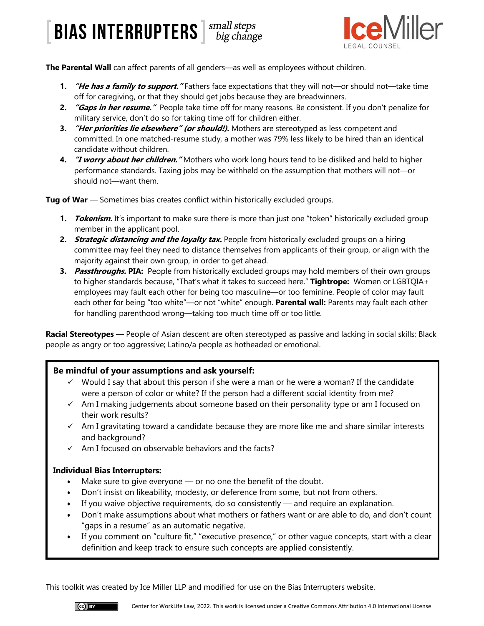# [BIAS INTERRUPTERS ] Small steps



**The Parental Wall** can affect parents of all genders—as well as employees without children.

- **1. "He has a family to support."** Fathers face expectations that they will not—or should not—take time off for caregiving, or that they should get jobs because they are breadwinners.
- **2. "Gaps in her resume."** People take time off for many reasons. Be consistent. If you don't penalize for military service, don't do so for taking time off for children either.
- **3. "Her priorities lie elsewhere" (or should!).** Mothers are stereotyped as less competent and committed. In one matched-resume study, a mother was 79% less likely to be hired than an identical candidate without children.
- **4. "I worry about her children."** Mothers who work long hours tend to be disliked and held to higher performance standards. Taxing jobs may be withheld on the assumption that mothers will not—or should not—want them.

**Tug of War** — Sometimes bias creates conflict within historically excluded groups.

- **1. Tokenism.** It's important to make sure there is more than just one "token" historically excluded group member in the applicant pool.
- **2. Strategic distancing and the loyalty tax.** People from historically excluded groups on a hiring committee may feel they need to distance themselves from applicants of their group, or align with the majority against their own group, in order to get ahead.
- **3. Passthroughs. PIA:** People from historically excluded groups may hold members of their own groups to higher standards because, "That's what it takes to succeed here." **Tightrope:** Women or LGBTQIA+ employees may fault each other for being too masculine—or too feminine. People of color may fault each other for being "too white"—or not "white" enough. **Parental wall:** Parents may fault each other for handling parenthood wrong—taking too much time off or too little.

**Racial Stereotypes** — People of Asian descent are often stereotyped as passive and lacking in social skills; Black people as angry or too aggressive; Latino/a people as hotheaded or emotional.

### **Be mindful of your assumptions and ask yourself:**

- $\checkmark$  Would I say that about this person if she were a man or he were a woman? If the candidate were a person of color or white? If the person had a different social identity from me?
- $\checkmark$  Am I making judgements about someone based on their personality type or am I focused on their work results?
- $\checkmark$  Am I gravitating toward a candidate because they are more like me and share similar interests and background?
- $\checkmark$  Am I focused on observable behaviors and the facts?

### **Individual Bias Interrupters:**

- Make sure to give everyone  $-$  or no one the benefit of the doubt.
- Don't insist on likeability, modesty, or deference from some, but not from others.
- If you waive objective requirements, do so consistently  $-$  and require an explanation.
- Don't make assumptions about what mothers or fathers want or are able to do, and don't count "gaps in a resume" as an automatic negative.
- If you comment on "culture fit," "executive presence," or other vague concepts, start with a clear definition and keep track to ensure such concepts are applied consistently.

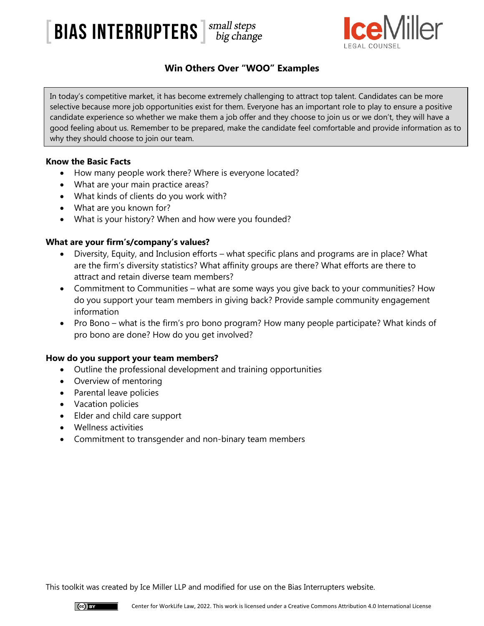



# **Win Others Over "WOO" Examples**

In today's competitive market, it has become extremely challenging to attract top talent. Candidates can be more selective because more job opportunities exist for them. Everyone has an important role to play to ensure a positive candidate experience so whether we make them a job offer and they choose to join us or we don't, they will have a good feeling about us. Remember to be prepared, make the candidate feel comfortable and provide information as to why they should choose to join our team.

### **Know the Basic Facts**

- How many people work there? Where is everyone located?
- What are your main practice areas?
- What kinds of clients do you work with?
- What are you known for?
- What is your history? When and how were you founded?

## **What are your firm's/company's values?**

- Diversity, Equity, and Inclusion efforts what specific plans and programs are in place? What are the firm's diversity statistics? What affinity groups are there? What efforts are there to attract and retain diverse team members?
- Commitment to Communities what are some ways you give back to your communities? How do you support your team members in giving back? Provide sample community engagement information
- Pro Bono what is the firm's pro bono program? How many people participate? What kinds of pro bono are done? How do you get involved?

### **How do you support your team members?**

- Outline the professional development and training opportunities
- Overview of mentoring
- Parental leave policies
- Vacation policies
- Elder and child care support
- Wellness activities
- Commitment to transgender and non-binary team members

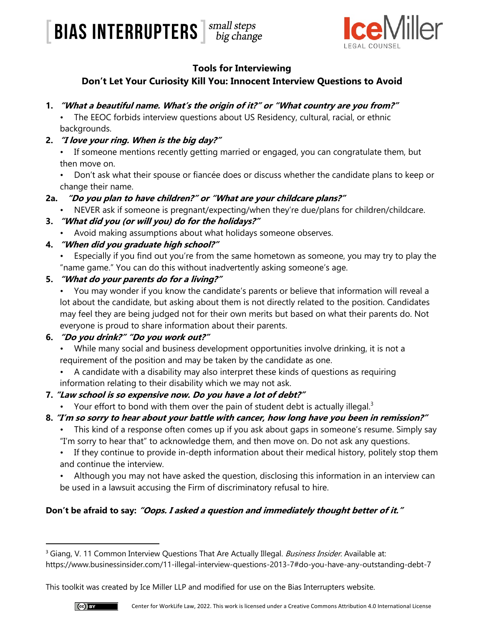



## **Tools for Interviewing**

# **Don't Let Your Curiosity Kill You: Innocent Interview Questions to Avoid**

**1. "What a beautiful name. What's the origin of it?" or "What country are you from?"**

• The EEOC forbids interview questions about US Residency, cultural, racial, or ethnic backgrounds.

**2. "I love your ring. When is the big day?"**

• If someone mentions recently getting married or engaged, you can congratulate them, but then move on.

• Don't ask what their spouse or fiancée does or discuss whether the candidate plans to keep or change their name.

- **2a. "Do you plan to have children?" or "What are your childcare plans?"**
	- NEVER ask if someone is pregnant/expecting/when they're due/plans for children/childcare.

## **3. "What did you (or will you) do for the holidays?"**

• Avoid making assumptions about what holidays someone observes.

## **4. "When did you graduate high school?"**

• Especially if you find out you're from the same hometown as someone, you may try to play the "name game." You can do this without inadvertently asking someone's age.

## **5. "What do your parents do for a living?"**

• You may wonder if you know the candidate's parents or believe that information will reveal a lot about the candidate, but asking about them is not directly related to the position. Candidates may feel they are being judged not for their own merits but based on what their parents do. Not everyone is proud to share information about their parents.

# **6. "Do you drink?" "Do you work out?"**

- While many social and business development opportunities involve drinking, it is not a requirement of the position and may be taken by the candidate as one.
- A candidate with a disability may also interpret these kinds of questions as requiring information relating to their disability which we may not ask.

# **7. "Law school is so expensive now. Do you have a lot of debt?"**

- Your effort to bond with them over the pain of student debt is actually illegal. $3$
- **8. "I'm so sorry to hear about your battle with cancer, how long have you been in remission?"**
	- This kind of a response often comes up if you ask about gaps in someone's resume. Simply say "I'm sorry to hear that" to acknowledge them, and then move on. Do not ask any questions.
	- If they continue to provide in-depth information about their medical history, politely stop them and continue the interview.
	- Although you may not have asked the question, disclosing this information in an interview can be used in a lawsuit accusing the Firm of discriminatory refusal to hire.

# **Don't be afraid to say: "Oops. I asked a question and immediately thought better of it."**

<sup>&</sup>lt;sup>3</sup> Giang, V. 11 Common Interview Questions That Are Actually Illegal. Business Insider. Available at: https://www.businessinsider.com/11-illegal-interview-questions-2013-7#do-you-have-any-outstanding-debt-7